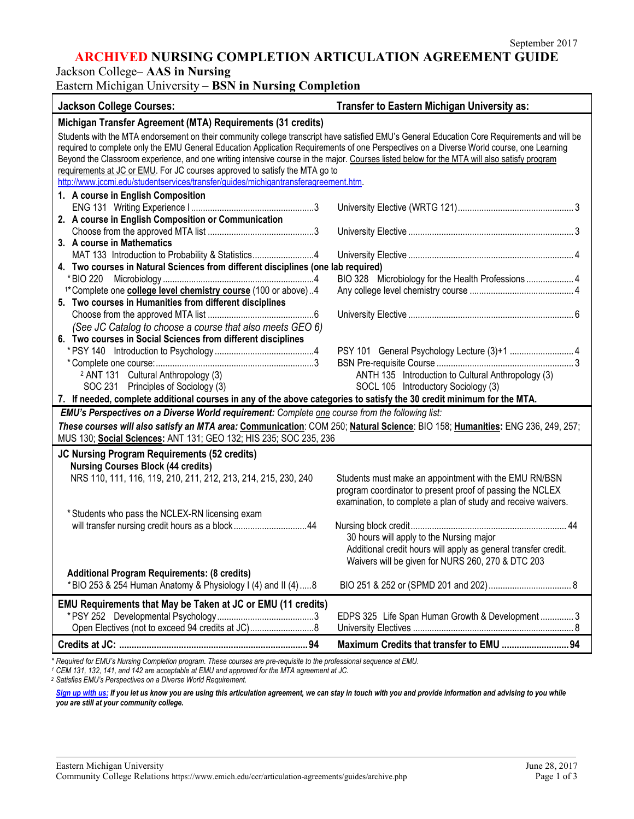## **ARCHIVED NURSING COMPLETION ARTICULATION AGREEMENT GUIDE**

Jackson College– **AAS in Nursing**

## Eastern Michigan University – **BSN in Nursing Completion**

| <b>Jackson College Courses:</b>                                                                                                                                                                                                                                                                                                                                                                                                        | Transfer to Eastern Michigan University as:                                                                                |  |
|----------------------------------------------------------------------------------------------------------------------------------------------------------------------------------------------------------------------------------------------------------------------------------------------------------------------------------------------------------------------------------------------------------------------------------------|----------------------------------------------------------------------------------------------------------------------------|--|
| Michigan Transfer Agreement (MTA) Requirements (31 credits)                                                                                                                                                                                                                                                                                                                                                                            |                                                                                                                            |  |
| Students with the MTA endorsement on their community college transcript have satisfied EMU's General Education Core Requirements and will be<br>required to complete only the EMU General Education Application Requirements of one Perspectives on a Diverse World course, one Learning<br>Beyond the Classroom experience, and one writing intensive course in the major. Courses listed below for the MTA will also satisfy program |                                                                                                                            |  |
| requirements at JC or EMU. For JC courses approved to satisfy the MTA go to                                                                                                                                                                                                                                                                                                                                                            |                                                                                                                            |  |
| http://www.jccmi.edu/studentservices/transfer/guides/michigantransferagreement.htm.                                                                                                                                                                                                                                                                                                                                                    |                                                                                                                            |  |
| 1. A course in English Composition                                                                                                                                                                                                                                                                                                                                                                                                     |                                                                                                                            |  |
|                                                                                                                                                                                                                                                                                                                                                                                                                                        |                                                                                                                            |  |
| 2. A course in English Composition or Communication                                                                                                                                                                                                                                                                                                                                                                                    |                                                                                                                            |  |
|                                                                                                                                                                                                                                                                                                                                                                                                                                        |                                                                                                                            |  |
| 3. A course in Mathematics<br>MAT 133 Introduction to Probability & Statistics4                                                                                                                                                                                                                                                                                                                                                        |                                                                                                                            |  |
| 4. Two courses in Natural Sciences from different disciplines (one lab required)                                                                                                                                                                                                                                                                                                                                                       |                                                                                                                            |  |
|                                                                                                                                                                                                                                                                                                                                                                                                                                        | BIO 328 Microbiology for the Health Professions  4                                                                         |  |
| <sup>1*</sup> Complete one <b>college level chemistry course</b> (100 or above)4                                                                                                                                                                                                                                                                                                                                                       |                                                                                                                            |  |
| 5. Two courses in Humanities from different disciplines                                                                                                                                                                                                                                                                                                                                                                                |                                                                                                                            |  |
|                                                                                                                                                                                                                                                                                                                                                                                                                                        |                                                                                                                            |  |
| (See JC Catalog to choose a course that also meets GEO 6)                                                                                                                                                                                                                                                                                                                                                                              |                                                                                                                            |  |
| 6. Two courses in Social Sciences from different disciplines                                                                                                                                                                                                                                                                                                                                                                           |                                                                                                                            |  |
|                                                                                                                                                                                                                                                                                                                                                                                                                                        |                                                                                                                            |  |
|                                                                                                                                                                                                                                                                                                                                                                                                                                        | ANTH 135 Introduction to Cultural Anthropology (3)                                                                         |  |
| <sup>2</sup> ANT 131 Cultural Anthropology (3)<br>SOC 231 Principles of Sociology (3)                                                                                                                                                                                                                                                                                                                                                  | SOCL 105 Introductory Sociology (3)                                                                                        |  |
| 7. If needed, complete additional courses in any of the above categories to satisfy the 30 credit minimum for the MTA.                                                                                                                                                                                                                                                                                                                 |                                                                                                                            |  |
| EMU's Perspectives on a Diverse World requirement: Complete one course from the following list:                                                                                                                                                                                                                                                                                                                                        |                                                                                                                            |  |
| These courses will also satisfy an MTA area: Communication: COM 250; Natural Science: BIO 158; Humanities: ENG 236, 249, 257;                                                                                                                                                                                                                                                                                                          |                                                                                                                            |  |
| MUS 130; Social Sciences: ANT 131; GEO 132; HIS 235; SOC 235, 236                                                                                                                                                                                                                                                                                                                                                                      |                                                                                                                            |  |
| JC Nursing Program Requirements (52 credits)                                                                                                                                                                                                                                                                                                                                                                                           |                                                                                                                            |  |
| <b>Nursing Courses Block (44 credits)</b>                                                                                                                                                                                                                                                                                                                                                                                              |                                                                                                                            |  |
| NRS 110, 111, 116, 119, 210, 211, 212, 213, 214, 215, 230, 240                                                                                                                                                                                                                                                                                                                                                                         | Students must make an appointment with the EMU RN/BSN                                                                      |  |
|                                                                                                                                                                                                                                                                                                                                                                                                                                        | program coordinator to present proof of passing the NCLEX<br>examination, to complete a plan of study and receive waivers. |  |
| * Students who pass the NCLEX-RN licensing exam                                                                                                                                                                                                                                                                                                                                                                                        |                                                                                                                            |  |
| will transfer nursing credit hours as a block44                                                                                                                                                                                                                                                                                                                                                                                        |                                                                                                                            |  |
|                                                                                                                                                                                                                                                                                                                                                                                                                                        | 30 hours will apply to the Nursing major                                                                                   |  |
|                                                                                                                                                                                                                                                                                                                                                                                                                                        | Additional credit hours will apply as general transfer credit.                                                             |  |
|                                                                                                                                                                                                                                                                                                                                                                                                                                        | Waivers will be given for NURS 260, 270 & DTC 203                                                                          |  |
| Additional Program Requirements: (8 credits)                                                                                                                                                                                                                                                                                                                                                                                           |                                                                                                                            |  |
| *BIO 253 & 254 Human Anatomy & Physiology I (4) and II (4)8                                                                                                                                                                                                                                                                                                                                                                            |                                                                                                                            |  |
| EMU Requirements that May be Taken at JC or EMU (11 credits)                                                                                                                                                                                                                                                                                                                                                                           |                                                                                                                            |  |
|                                                                                                                                                                                                                                                                                                                                                                                                                                        | EDPS 325 Life Span Human Growth & Development  3                                                                           |  |
|                                                                                                                                                                                                                                                                                                                                                                                                                                        |                                                                                                                            |  |
|                                                                                                                                                                                                                                                                                                                                                                                                                                        | Maximum Credits that transfer to EMU 94                                                                                    |  |

*\* Required for EMU's Nursing Completion program. These courses are pre-requisite to the professional sequence at EMU.*

*<sup>1</sup> CEM 131, 132, 141, and 142 are acceptable at EMU and approved for the MTA agreement at JC.*

*<sup>2</sup> Satisfies EMU's Perspectives on a Diverse World Requirement.*

[Sign up with us:](https://www.emich.edu/ccr/articulation-agreements/signup.php) If you let us know you are using this articulation agreement, we can stay in touch with you and provide information and advising to you while *you are still at your community college.*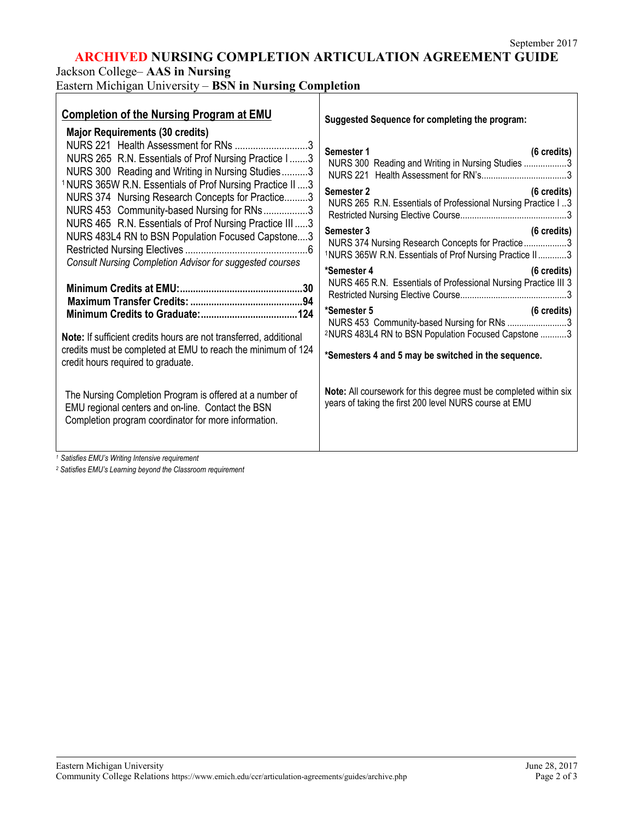# **ARCHIVED NURSING COMPLETION ARTICULATION AGREEMENT GUIDE**

Jackson College– **AAS in Nursing**

Eastern Michigan University – **BSN in Nursing Completion**

| <b>Completion of the Nursing Program at EMU</b><br><b>Major Requirements (30 credits)</b><br>NURS 221 Health Assessment for RNs 3                                                                                                                                                                                                                                                                                                                                      | Suggested Sequence for completing the program:                                                                                                     |
|------------------------------------------------------------------------------------------------------------------------------------------------------------------------------------------------------------------------------------------------------------------------------------------------------------------------------------------------------------------------------------------------------------------------------------------------------------------------|----------------------------------------------------------------------------------------------------------------------------------------------------|
| NURS 265 R.N. Essentials of Prof Nursing Practice I3<br>NURS 300 Reading and Writing in Nursing Studies3<br><sup>1</sup> NURS 365W R.N. Essentials of Prof Nursing Practice II  3<br>NURS 374 Nursing Research Concepts for Practice3<br>NURS 453 Community-based Nursing for RNs3<br>NURS 465 R.N. Essentials of Prof Nursing Practice III  3<br>NURS 483L4 RN to BSN Population Focused Capstone3<br><b>Consult Nursing Completion Advisor for suggested courses</b> | Semester 1<br>$(6 \text{ credits})$<br>NURS 300 Reading and Writing in Nursing Studies 3                                                           |
|                                                                                                                                                                                                                                                                                                                                                                                                                                                                        | Semester 2<br>$(6 \text{ credits})$<br>NURS 265 R.N. Essentials of Professional Nursing Practice I3                                                |
|                                                                                                                                                                                                                                                                                                                                                                                                                                                                        | Semester 3<br>$(6 \text{ credits})$<br>NURS 374 Nursing Research Concepts for Practice3<br>1NURS 365W R.N. Essentials of Prof Nursing Practice II3 |
|                                                                                                                                                                                                                                                                                                                                                                                                                                                                        | *Semester 4<br>(6 credits)<br>NURS 465 R.N. Essentials of Professional Nursing Practice III 3                                                      |
|                                                                                                                                                                                                                                                                                                                                                                                                                                                                        | *Semester 5<br>(6 credits)<br>NURS 453 Community-based Nursing for RNs 3                                                                           |
| Note: If sufficient credits hours are not transferred, additional<br>credits must be completed at EMU to reach the minimum of 124<br>credit hours required to graduate.                                                                                                                                                                                                                                                                                                | <sup>2</sup> NURS 483L4 RN to BSN Population Focused Capstone 3<br>*Semesters 4 and 5 may be switched in the sequence.                             |
| The Nursing Completion Program is offered at a number of<br>EMU regional centers and on-line. Contact the BSN<br>Completion program coordinator for more information.                                                                                                                                                                                                                                                                                                  | Note: All coursework for this degree must be completed within six<br>years of taking the first 200 level NURS course at EMU                        |
| 1 Satisfies FMLI's Writing Intensive requirement                                                                                                                                                                                                                                                                                                                                                                                                                       |                                                                                                                                                    |

*<sup>1</sup> Satisfies EMU's Writing Intensive requirement*

*<sup>2</sup> Satisfies EMU's Learning beyond the Classroom requirement*